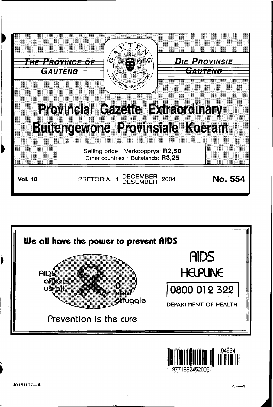





J0151197-A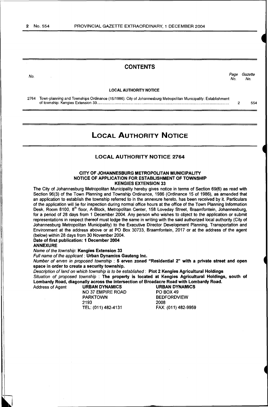## **CONTENTS**

No.<br>No. Page Gazette No. No.

#### LOCAL AUTHORITY NOTICE

2764 Town-planning and Townships Ordinance (15/1986): City of Johannesburg Metropolitan Municipality: Establishment of township: Kengies Extension 33................. ....... ................... ............ ........... ................... ........................................... 2 554

# LOCAL AUTHORITY NOTICE

### LOCAL AUTHORITY NOTICE 2764

#### CITY OF JOHANNESBURG METROPOLITAN MUNICIPALITY NOTICE OF APPLICATION FOR ESTABLISHMENT OF TOWNSHIP KENGIES EXTENSION 33

The City of Johannesburg Metropolitan Municipality hereby gives notice in terms of Section 69(6) as read with Section 96(3) of the Town Planning and Township Ordinance, 1986 (Ordinance 15 of 1986), as amended that an application to establish the township referred to in the annexure hereto, has been received by it. Particulars of the application will lie for inspection during normal office hours at the office of the Town Planning Information Desk, Room 8100, 8<sup>th</sup> floor, A-Block, Metropolitan Center, 158 Loveday Street, Braamfontein, Johannesburg, for a period of 28 days from 1 December 2004. Any person who wishes to object to the application or submit representations in respect thereof must lodge the same in writing with the said authorized local authority (City of Johannesburg Metropolitan Municipality) to the Executive Director Development Planning, Transportation and Environment at the address above or at PO Box 30733, Braamfontein, 2017 or at the address of the agent (below) within 28 days from 30 November 2004.

Date of first publication: 1 December 2004 ANNEXURE

Name of the township: Kengies Extension 33 Full name of the applicant : Urban Dynamics Gauteng Inc.

Number of erven in proposed township : 5 erven zoned "Residential 2" with a private street and open space in order to create a security township.

Description of land on which township is to be established : Plot 2 Kengies Agricultural Holdings Situation of proposed township : The property is located at Kengies Agricultural Holdings, south of Lombardy Road, diagonally across the intersection of Broadacre Road with Lombardy Road.

Address of Agent **URBAN DYNAMICS** URBAN DYNAMICS<br>NO 37 EMPIRE ROAD PO BOX 49 NO 37 EMPIRE ROAD<br>PARKTOWN 2193 TEL: (011) 482-4131 FAX: (011) 482-9959

BEDFORDVIEW<br>2008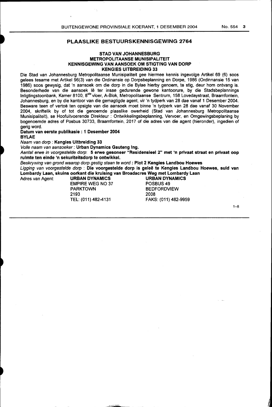## PLAASLIKE BESTUURSKENNISGEWING 2764

### STAD VAN JOHANNESBURG METROPOLITAANSE MUNISIPALITEIT KENNISGEWING VAN AANSOEK OM STIGTING VAN DORP KENGIES UITBREIDING 33

Die Stad van Johannesburg Metropolitaanse Munisipaliteit gee hiermee kennis ingevolge Artikel 69 (6) soos gelees tesame met Artikel 96(3) van die Ordinansie op Dorpsbeplanning en Dorpe, 1986 (Ordinnansie 15 van 1986) soos gewysig, dat 'n aansoek om die dorp in die Bylae hierby genoem, te stig, deur hom ontvang is. Besonderhede van die aansoek le ter insae gedurende gewone kantoorure, by die Stadsbeplannings Inligtingstoonbank, Kamer 8100, 8<sup>ste</sup> vloer, A-Blok, Metropolitaanse Sentrum, 158 Lovedaystraat, Braamfontein, Johannesburg, en by die kantoor van die gemagtigde agent, vir 'n tydperk van 28 dae vanaf 1 Desember 2004. Besware teen of vertoë ten opsigte van die aansoek moet binne 'n tydperk van 28 dae vanaf 30 November 2004, skriftelik by of tot die genoemde plaaslike owerheid (Stad van Johannesburg Metropolitaanse Munisipaliteit), se Hoofuitvoerende Direkteur : Ontwikkelingsbeplanning, Vervoer, en Omgewingsbeplaning by bogenoemde adres of Posbus 30733, Braamfontein, 2017 of die adres van die agent (hieronder), ingedien of gerig word.

Datum van eerste publikasie : 1 Desember 2004

#### BYLAE

Naam van dorp : Kengies Uitbreiding 33

Volle naam van aansoeker: Urban Dynamics Gauteng Ing.

Aantal erwe in voorgestelde dorp: 5 erwe gesoneer "Residensieel 2" met 'n privaat straat en privaat oop ruimte ten einde 'n sekuriteitsdorp te ontwikkel.

Beskrywing van grond waarop dorp gestig staan te word : Plot 2 Kengies Landbou Hoewes

Ligging van voorgestelde dorp : Die voorgestelde dorp is geleë te Kengies Landbou Hoewes, suid van Lombardy Laan, skuins oorkant die kruising van Broadacres Weg met Lombardy Laan<br>Adres van Agent: URBAN DYNAMICS URBAN DYNAMICS

EMPIRE WEG NO 37<br>PARKTOWN PARKTOWN BEDFORDVIEW 2193 2008

**URBAN DYNAMICS<br>POSBUS 49** TEL: (011) 482-4131 FAKS: (011) 482-9959

1-8